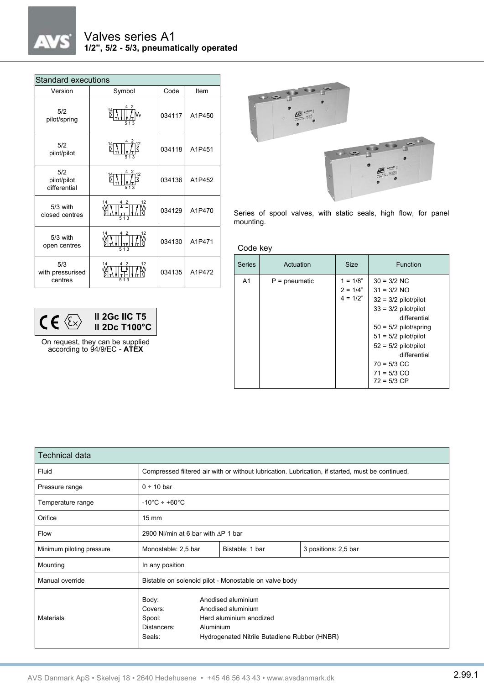| Standard executions                |                      |        |        |  |  |  |
|------------------------------------|----------------------|--------|--------|--|--|--|
| Version                            | Symbol               | Code   | Item   |  |  |  |
| 5/2<br>pilot/spring                |                      | 034117 | A1P450 |  |  |  |
| 5/2<br>pilot/pilot                 |                      | 034118 | A1P451 |  |  |  |
| 5/2<br>pilot/pilot<br>differential | 513                  | 034136 | A1P452 |  |  |  |
| $5/3$ with<br>closed centres       | 14<br>12<br>2<br>513 | 034129 | A1P470 |  |  |  |
| $5/3$ with<br>open centres         | 14<br>12             | 034130 | A1P471 |  |  |  |
| 5/3<br>with pressurised<br>centres | 14<br>513            | 034135 | A1P472 |  |  |  |

| II 2Gc IIC T5<br><b>II 2Dc T100°C</b> |
|---------------------------------------|
|                                       |

On request, they can be supplied according to 94/9/EC - **ATEX**



Series of spool valves, with static seals, high flow, for panel mounting.

Code key

| <b>Series</b>  | Actuation       | <b>Size</b>                            | <b>Function</b>                                                                                                                                                                                                                                      |
|----------------|-----------------|----------------------------------------|------------------------------------------------------------------------------------------------------------------------------------------------------------------------------------------------------------------------------------------------------|
| A <sub>1</sub> | $P =$ pneumatic | $1 = 1/8"$<br>$2 = 1/4"$<br>$4 = 1/2"$ | $30 = 3/2$ NC<br>$31 = 3/2$ NO<br>$32 = 3/2$ pilot/pilot<br>$33 = 3/2$ pilot/pilot<br>differential<br>$50 = 5/2$ pilot/spring<br>$51 = 5/2$ pilot/pilot<br>$52 = 5/2$ pilot/pilot<br>differential<br>$70 = 5/3$ CC<br>$71 = 5/3$ CO<br>$72 = 5/3$ CP |

| Technical data            |                                                                                                  |                                                                                                                                  |                      |  |  |
|---------------------------|--------------------------------------------------------------------------------------------------|----------------------------------------------------------------------------------------------------------------------------------|----------------------|--|--|
| Fluid                     | Compressed filtered air with or without lubrication. Lubrication, if started, must be continued. |                                                                                                                                  |                      |  |  |
| Pressure range            | $0 \div 10$ bar                                                                                  |                                                                                                                                  |                      |  |  |
| Temperature range         | $-10^{\circ}$ C ÷ +60 $^{\circ}$ C                                                               |                                                                                                                                  |                      |  |  |
| Orifice                   | $15 \text{ mm}$                                                                                  |                                                                                                                                  |                      |  |  |
| Flow                      | 2900 NI/min at 6 bar with $\Delta P$ 1 bar                                                       |                                                                                                                                  |                      |  |  |
| Minimum piloting pressure | Monostable: 2,5 bar                                                                              | Bistable: 1 bar                                                                                                                  | 3 positions: 2,5 bar |  |  |
| Mounting                  | In any position                                                                                  |                                                                                                                                  |                      |  |  |
| Manual override           | Bistable on solenoid pilot - Monostable on valve body                                            |                                                                                                                                  |                      |  |  |
| <b>Materials</b>          | Body:<br>Covers:<br>Spool:<br>Distancers:<br>Seals:                                              | Anodised aluminium<br>Anodised aluminium<br>Hard aluminium anodized<br>Aluminium<br>Hydrogenated Nitrile Butadiene Rubber (HNBR) |                      |  |  |